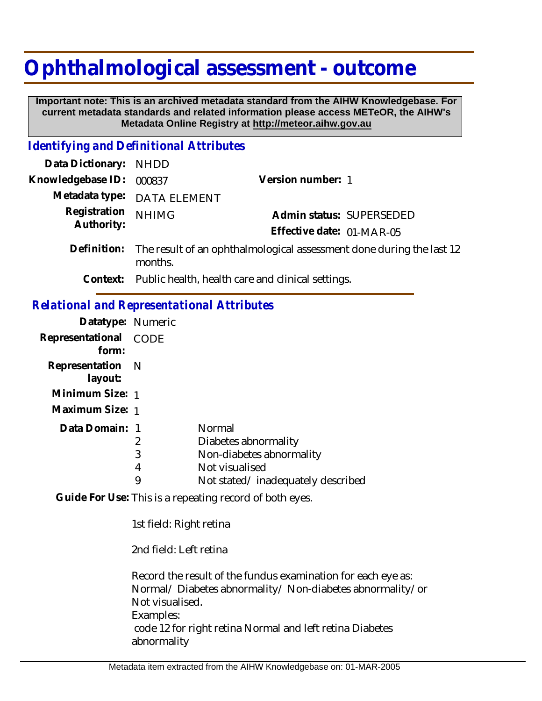## **Ophthalmological assessment - outcome**

 **Important note: This is an archived metadata standard from the AIHW Knowledgebase. For current metadata standards and related information please access METeOR, the AIHW's Metadata Online Registry at http://meteor.aihw.gov.au**

## *Identifying and Definitional Attributes*

| Data Dictionary:                                        | <b>NHDD</b>         |                                                                                                                   |
|---------------------------------------------------------|---------------------|-------------------------------------------------------------------------------------------------------------------|
| Knowledgebase ID:                                       | 000837              | Version number: 1                                                                                                 |
| Metadata type:                                          | <b>DATA ELEMENT</b> |                                                                                                                   |
| Registration<br>Authority:                              | <b>NHIMG</b>        | Admin status: SUPERSEDED<br>Effective date: 01-MAR-05                                                             |
| Definition:                                             | months.             | The result of an ophthalmological assessment done during the last 12                                              |
| Context:                                                |                     | Public health, health care and clinical settings.                                                                 |
| <b>Relational and Representational Attributes</b>       |                     |                                                                                                                   |
| Datatype: Numeric                                       |                     |                                                                                                                   |
| Representational<br>form:                               | CODE                |                                                                                                                   |
| Representation<br>layout:                               | $\mathsf{N}$        |                                                                                                                   |
| Minimum Size: 1                                         |                     |                                                                                                                   |
| Maximum Size: 1                                         |                     |                                                                                                                   |
| Data Domain: 1                                          | 2<br>3<br>4<br>9    | Normal<br>Diabetes abnormality<br>Non-diabetes abnormality<br>Not visualised<br>Not stated/inadequately described |
| Guide For Use: This is a repeating record of both eyes. |                     |                                                                                                                   |

1st field: Right retina

2nd field: Left retina

Record the result of the fundus examination for each eye as: Normal/ Diabetes abnormality/ Non-diabetes abnormality/or Not visualised. Examples: code 12 for right retina Normal and left retina Diabetes abnormality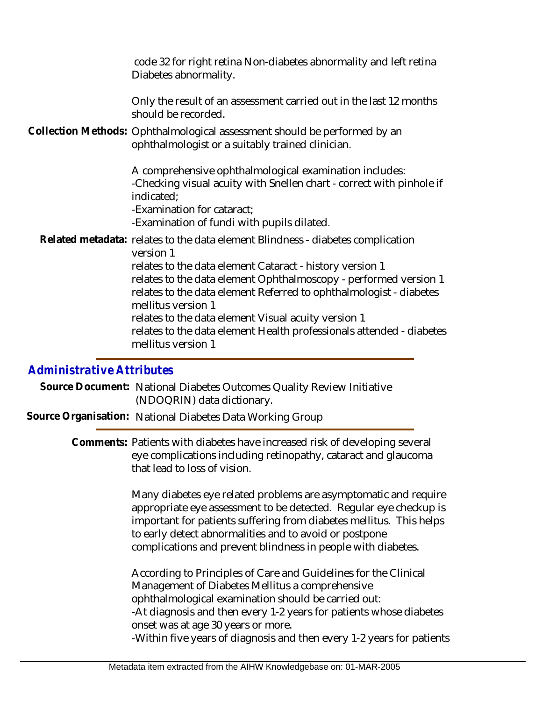code 32 for right retina Non-diabetes abnormality and left retina Diabetes abnormality.

Only the result of an assessment carried out in the last 12 months should be recorded.

Collection Methods: Ophthalmological assessment should be performed by an ophthalmologist or a suitably trained clinician.

> A comprehensive ophthalmological examination includes: -Checking visual acuity with Snellen chart - correct with pinhole if indicated;

-Examination for cataract;

-Examination of fundi with pupils dilated.

Related metadata: relates to the data element Blindness - diabetes complication version 1 relates to the data element Cataract - history version 1 relates to the data element Ophthalmoscopy - performed version 1 relates to the data element Referred to ophthalmologist - diabetes mellitus version 1 relates to the data element Visual acuity version 1 relates to the data element Health professionals attended - diabetes mellitus version 1

## *Administrative Attributes*

Source Document: National Diabetes Outcomes Quality Review Initiative (NDOQRIN) data dictionary.

**Source Organisation:** National Diabetes Data Working Group

Comments: Patients with diabetes have increased risk of developing several eye complications including retinopathy, cataract and glaucoma that lead to loss of vision.

> Many diabetes eye related problems are asymptomatic and require appropriate eye assessment to be detected. Regular eye checkup is important for patients suffering from diabetes mellitus. This helps to early detect abnormalities and to avoid or postpone complications and prevent blindness in people with diabetes.

> According to Principles of Care and Guidelines for the Clinical Management of Diabetes Mellitus a comprehensive ophthalmological examination should be carried out: -At diagnosis and then every 1-2 years for patients whose diabetes onset was at age 30 years or more. -Within five years of diagnosis and then every 1-2 years for patients